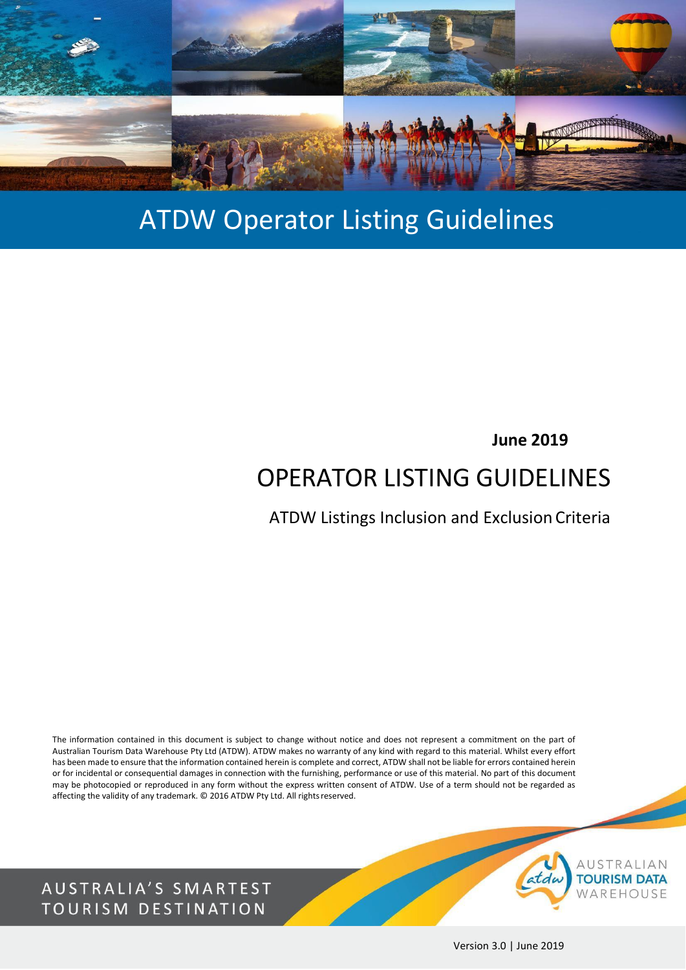

# ATDW Operator Listing Guidelines

### **June 2019**

# OPERATOR LISTING GUIDELINES

ATDW Listings Inclusion and Exclusion Criteria

The information contained in this document is subject to change without notice and does not represent a commitment on the part of Australian Tourism Data Warehouse Pty Ltd (ATDW). ATDW makes no warranty of any kind with regard to this material. Whilst every effort has been made to ensure that the information contained herein is complete and correct, ATDW shall not be liable for errors contained herein or for incidental or consequential damages in connection with the furnishing, performance or use of this material. No part of this document may be photocopied or reproduced in any form without the express written consent of ATDW. Use of a term should not be regarded as affecting the validity of any trademark. © 2016 ATDW Pty Ltd. All rights reserved.

AUSTRALIA'S SMARTEST TOURISM DESTINATION



Version 3.0 | June 2019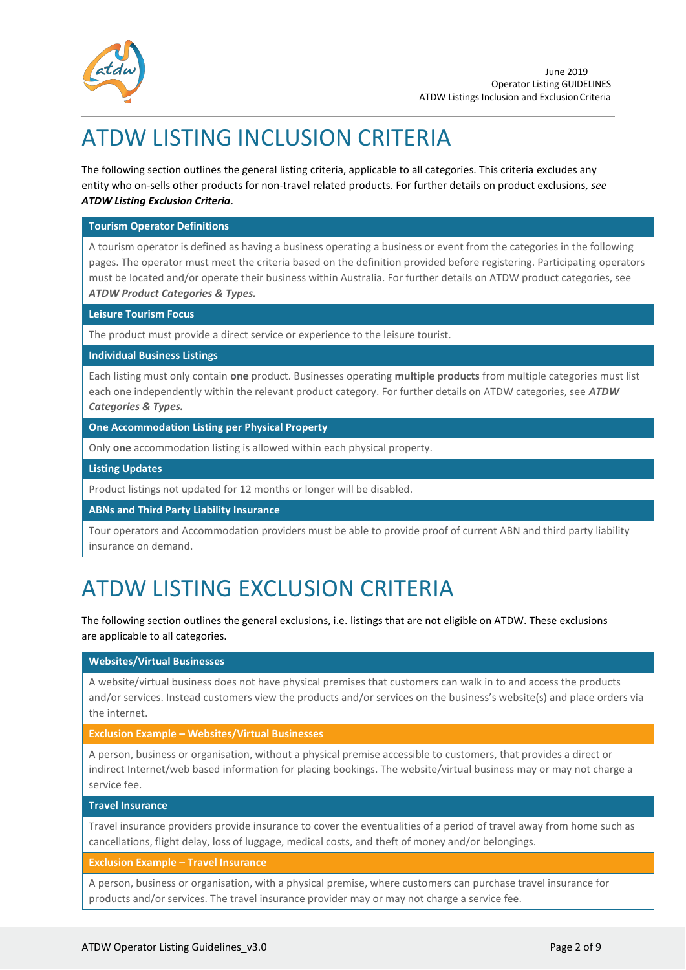

# ATDW LISTING INCLUSION CRITERIA

The following section outlines the general listing criteria, applicable to all categories. This criteria excludes any entity who on-sells other products for non-travel related products. For further details on product exclusions, *see ATDW Listing Exclusion Criteria*.

#### **Tourism Operator Definitions**

A tourism operator is defined as having a business operating a business or event from the categories in the following pages. The operator must meet the criteria based on the definition provided before registering. Participating operators must be located and/or operate their business within Australia. For further details on ATDW product categories, see *ATDW Product Categories & Types.*

#### **Leisure Tourism Focus**

The product must provide a direct service or experience to the leisure tourist.

#### **Individual Business Listings**

Each listing must only contain **one** product. Businesses operating **multiple products** from multiple categories must list each one independently within the relevant product category. For further details on ATDW categories, see *ATDW Categories & Types.*

**One Accommodation Listing per Physical Property**

Only **one** accommodation listing is allowed within each physical property.

**Listing Updates**

Product listings not updated for 12 months or longer will be disabled.

**ABNs and Third Party Liability Insurance**

Tour operators and Accommodation providers must be able to provide proof of current ABN and third party liability insurance on demand.

### ATDW LISTING EXCLUSION CRITERIA

The following section outlines the general exclusions, i.e. listings that are not eligible on ATDW. These exclusions are applicable to all categories.

#### **Websites/Virtual Businesses**

A website/virtual business does not have physical premises that customers can walk in to and access the products and/or services. Instead customers view the products and/or services on the business's website(s) and place orders via the internet.

#### **Exclusion Example – Websites/Virtual Businesses**

A person, business or organisation, without a physical premise accessible to customers, that provides a direct or indirect Internet/web based information for placing bookings. The website/virtual business may or may not charge a service fee.

#### **Travel Insurance**

Travel insurance providers provide insurance to cover the eventualities of a period of travel away from home such as cancellations, flight delay, loss of luggage, medical costs, and theft of money and/or belongings.

#### **Exclusion Example – Travel Insurance**

A person, business or organisation, with a physical premise, where customers can purchase travel insurance for products and/or services. The travel insurance provider may or may not charge a service fee.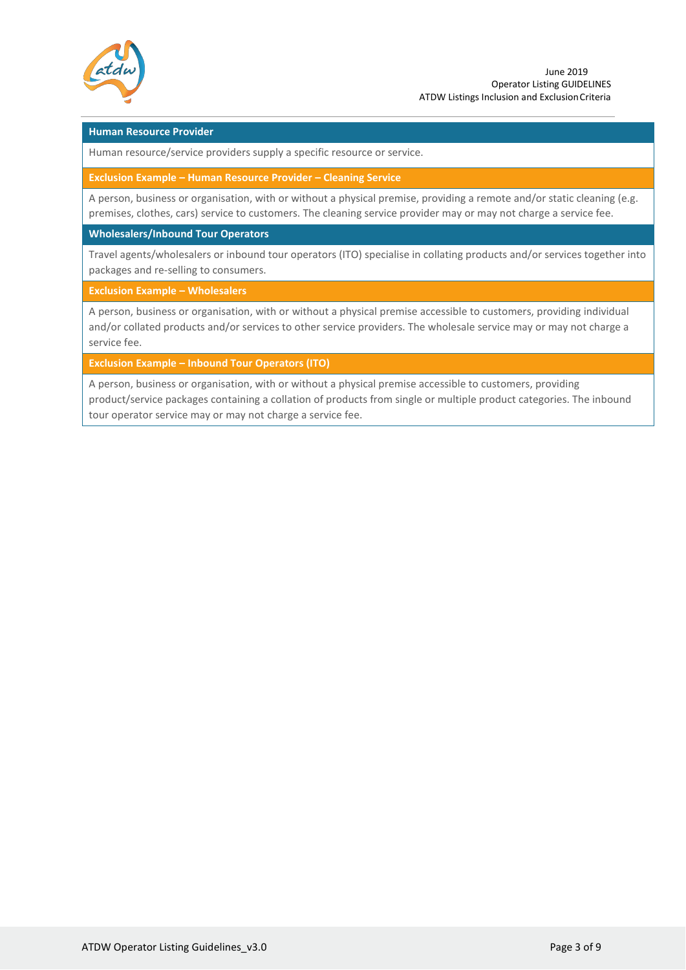

#### **Human Resource Provider**

Human resource/service providers supply a specific resource or service.

**Exclusion Example – Human Resource Provider – Cleaning Service**

A person, business or organisation, with or without a physical premise, providing a remote and/or static cleaning (e.g. premises, clothes, cars) service to customers. The cleaning service provider may or may not charge a service fee.

**Wholesalers/Inbound Tour Operators**

Travel agents/wholesalers or inbound tour operators (ITO) specialise in collating products and/or services together into packages and re-selling to consumers.

**Exclusion Example – Wholesalers**

A person, business or organisation, with or without a physical premise accessible to customers, providing individual and/or collated products and/or services to other service providers. The wholesale service may or may not charge a service fee.

**Exclusion Example – Inbound Tour Operators (ITO)**

A person, business or organisation, with or without a physical premise accessible to customers, providing product/service packages containing a collation of products from single or multiple product categories. The inbound tour operator service may or may not charge a service fee.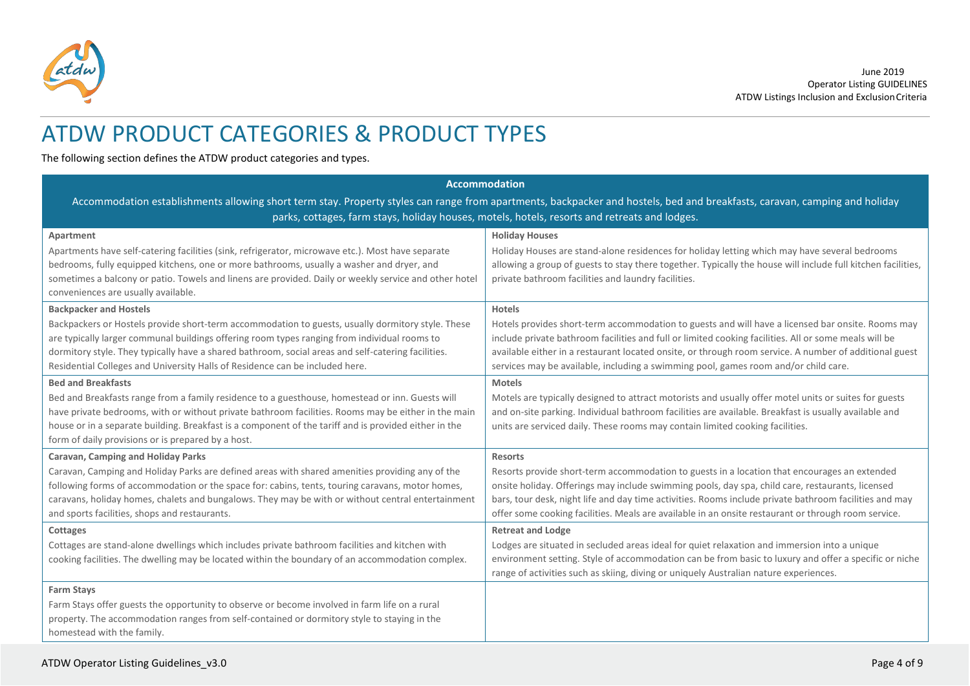

### ATDW PRODUCT CATEGORIES & PRODUCT TYPES

The following section defines the ATDW product categories and types.

| <b>Accommodation</b>                                                                                                                                                                                                                                                                                                                                                                                                     |                                                                                                                                                                                                                                                                                                                                                                                                                                     |  |
|--------------------------------------------------------------------------------------------------------------------------------------------------------------------------------------------------------------------------------------------------------------------------------------------------------------------------------------------------------------------------------------------------------------------------|-------------------------------------------------------------------------------------------------------------------------------------------------------------------------------------------------------------------------------------------------------------------------------------------------------------------------------------------------------------------------------------------------------------------------------------|--|
| Accommodation establishments allowing short term stay. Property styles can range from apartments, backpacker and hostels, bed and breakfasts, caravan, camping and holiday                                                                                                                                                                                                                                               |                                                                                                                                                                                                                                                                                                                                                                                                                                     |  |
|                                                                                                                                                                                                                                                                                                                                                                                                                          | parks, cottages, farm stays, holiday houses, motels, hotels, resorts and retreats and lodges.                                                                                                                                                                                                                                                                                                                                       |  |
| Apartment<br>Apartments have self-catering facilities (sink, refrigerator, microwave etc.). Most have separate<br>bedrooms, fully equipped kitchens, one or more bathrooms, usually a washer and dryer, and<br>sometimes a balcony or patio. Towels and linens are provided. Daily or weekly service and other hotel<br>conveniences are usually available.                                                              | <b>Holiday Houses</b><br>Holiday Houses are stand-alone residences for holiday letting which may have several bedrooms<br>allowing a group of guests to stay there together. Typically the house will include full kitchen facilities,<br>private bathroom facilities and laundry facilities.                                                                                                                                       |  |
| <b>Backpacker and Hostels</b><br>Backpackers or Hostels provide short-term accommodation to guests, usually dormitory style. These<br>are typically larger communal buildings offering room types ranging from individual rooms to<br>dormitory style. They typically have a shared bathroom, social areas and self-catering facilities.<br>Residential Colleges and University Halls of Residence can be included here. | Hotels<br>Hotels provides short-term accommodation to guests and will have a licensed bar onsite. Rooms may<br>include private bathroom facilities and full or limited cooking facilities. All or some meals will be<br>available either in a restaurant located onsite, or through room service. A number of additional guest<br>services may be available, including a swimming pool, games room and/or child care.               |  |
| <b>Bed and Breakfasts</b><br>Bed and Breakfasts range from a family residence to a guesthouse, homestead or inn. Guests will<br>have private bedrooms, with or without private bathroom facilities. Rooms may be either in the main<br>house or in a separate building. Breakfast is a component of the tariff and is provided either in the<br>form of daily provisions or is prepared by a host.                       | <b>Motels</b><br>Motels are typically designed to attract motorists and usually offer motel units or suites for guests<br>and on-site parking. Individual bathroom facilities are available. Breakfast is usually available and<br>units are serviced daily. These rooms may contain limited cooking facilities.                                                                                                                    |  |
| Caravan, Camping and Holiday Parks<br>Caravan, Camping and Holiday Parks are defined areas with shared amenities providing any of the<br>following forms of accommodation or the space for: cabins, tents, touring caravans, motor homes,<br>caravans, holiday homes, chalets and bungalows. They may be with or without central entertainment<br>and sports facilities, shops and restaurants.                          | <b>Resorts</b><br>Resorts provide short-term accommodation to guests in a location that encourages an extended<br>onsite holiday. Offerings may include swimming pools, day spa, child care, restaurants, licensed<br>bars, tour desk, night life and day time activities. Rooms include private bathroom facilities and may<br>offer some cooking facilities. Meals are available in an onsite restaurant or through room service. |  |
| Cottages<br>Cottages are stand-alone dwellings which includes private bathroom facilities and kitchen with<br>cooking facilities. The dwelling may be located within the boundary of an accommodation complex.                                                                                                                                                                                                           | <b>Retreat and Lodge</b><br>Lodges are situated in secluded areas ideal for quiet relaxation and immersion into a unique<br>environment setting. Style of accommodation can be from basic to luxury and offer a specific or niche<br>range of activities such as skiing, diving or uniquely Australian nature experiences.                                                                                                          |  |
| <b>Farm Stays</b><br>Farm Stays offer guests the opportunity to observe or become involved in farm life on a rural<br>property. The accommodation ranges from self-contained or dormitory style to staying in the<br>homestead with the family.                                                                                                                                                                          |                                                                                                                                                                                                                                                                                                                                                                                                                                     |  |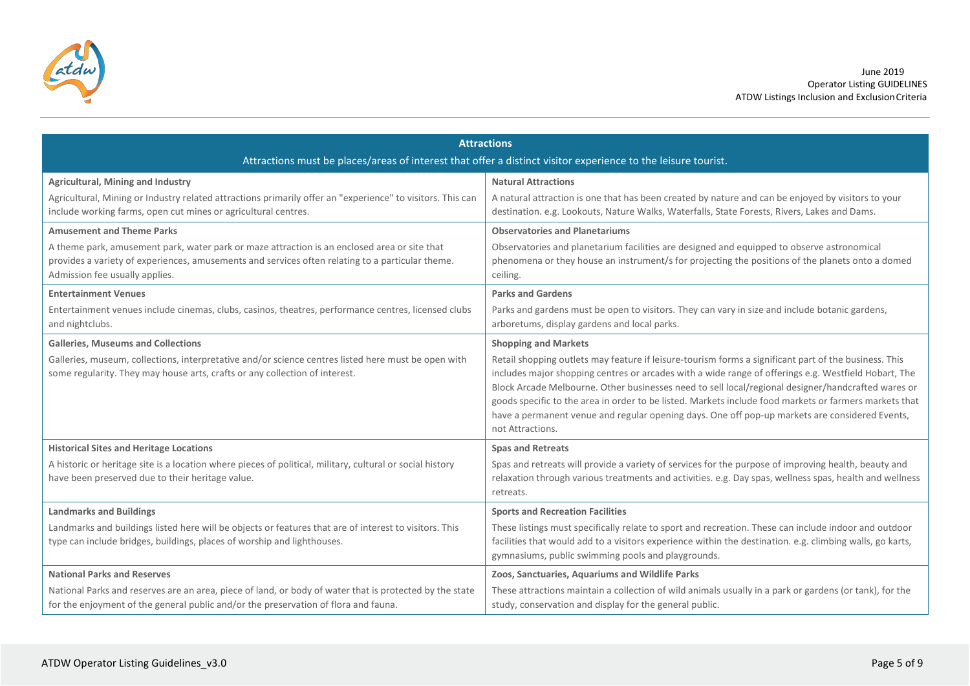

| <b>Attractions</b>                                                                                         |                                                                                                                                                                                                              |  |
|------------------------------------------------------------------------------------------------------------|--------------------------------------------------------------------------------------------------------------------------------------------------------------------------------------------------------------|--|
|                                                                                                            | Attractions must be places/areas of interest that offer a distinct visitor experience to the leisure tourist.                                                                                                |  |
| <b>Agricultural, Mining and Industry</b>                                                                   | <b>Natural Attractions</b>                                                                                                                                                                                   |  |
| Agricultural, Mining or Industry related attractions primarily offer an "experience" to visitors. This can | A natural attraction is one that has been created by nature and can be enjoyed by visitors to your                                                                                                           |  |
| include working farms, open cut mines or agricultural centres.                                             | destination. e.g. Lookouts, Nature Walks, Waterfalls, State Forests, Rivers, Lakes and Dams.                                                                                                                 |  |
| <b>Amusement and Theme Parks</b>                                                                           | <b>Observatories and Planetariums</b>                                                                                                                                                                        |  |
| A theme park, amusement park, water park or maze attraction is an enclosed area or site that               | Observatories and planetarium facilities are designed and equipped to observe astronomical                                                                                                                   |  |
| provides a variety of experiences, amusements and services often relating to a particular theme.           | phenomena or they house an instrument/s for projecting the positions of the planets onto a domed                                                                                                             |  |
| Admission fee usually applies.                                                                             | ceiling.                                                                                                                                                                                                     |  |
| <b>Entertainment Venues</b>                                                                                | <b>Parks and Gardens</b>                                                                                                                                                                                     |  |
| Entertainment venues include cinemas, clubs, casinos, theatres, performance centres, licensed clubs        | Parks and gardens must be open to visitors. They can vary in size and include botanic gardens,                                                                                                               |  |
| and nightclubs.                                                                                            | arboretums, display gardens and local parks.                                                                                                                                                                 |  |
| <b>Galleries, Museums and Collections</b>                                                                  | <b>Shopping and Markets</b>                                                                                                                                                                                  |  |
| Galleries, museum, collections, interpretative and/or science centres listed here must be open with        | Retail shopping outlets may feature if leisure-tourism forms a significant part of the business. This                                                                                                        |  |
| some regularity. They may house arts, crafts or any collection of interest.                                | includes major shopping centres or arcades with a wide range of offerings e.g. Westfield Hobart, The                                                                                                         |  |
|                                                                                                            | Block Arcade Melbourne. Other businesses need to sell local/regional designer/handcrafted wares or<br>goods specific to the area in order to be listed. Markets include food markets or farmers markets that |  |
|                                                                                                            | have a permanent venue and regular opening days. One off pop-up markets are considered Events,                                                                                                               |  |
|                                                                                                            | not Attractions.                                                                                                                                                                                             |  |
| <b>Historical Sites and Heritage Locations</b>                                                             | <b>Spas and Retreats</b>                                                                                                                                                                                     |  |
| A historic or heritage site is a location where pieces of political, military, cultural or social history  | Spas and retreats will provide a variety of services for the purpose of improving health, beauty and                                                                                                         |  |
| have been preserved due to their heritage value.                                                           | relaxation through various treatments and activities. e.g. Day spas, wellness spas, health and wellness                                                                                                      |  |
|                                                                                                            | retreats.                                                                                                                                                                                                    |  |
| <b>Landmarks and Buildings</b>                                                                             | <b>Sports and Recreation Facilities</b>                                                                                                                                                                      |  |
| Landmarks and buildings listed here will be objects or features that are of interest to visitors. This     | These listings must specifically relate to sport and recreation. These can include indoor and outdoor                                                                                                        |  |
| type can include bridges, buildings, places of worship and lighthouses.                                    | facilities that would add to a visitors experience within the destination. e.g. climbing walls, go karts,                                                                                                    |  |
|                                                                                                            | gymnasiums, public swimming pools and playgrounds.                                                                                                                                                           |  |
| <b>National Parks and Reserves</b>                                                                         | Zoos, Sanctuaries, Aquariums and Wildlife Parks                                                                                                                                                              |  |
| National Parks and reserves are an area, piece of land, or body of water that is protected by the state    | These attractions maintain a collection of wild animals usually in a park or gardens (or tank), for the                                                                                                      |  |
| for the enjoyment of the general public and/or the preservation of flora and fauna.                        | study, conservation and display for the general public.                                                                                                                                                      |  |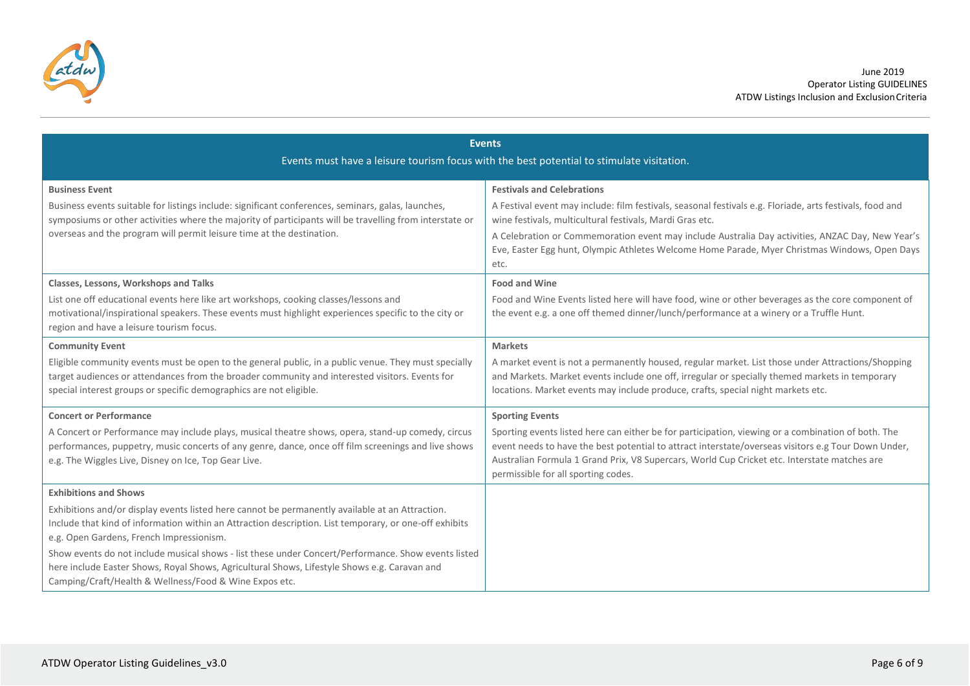

| <b>Events</b><br>Events must have a leisure tourism focus with the best potential to stimulate visitation.                                                                                                                                                                                                                                                                                                                                                                                                                                             |                                                                                                                                                                                                                                                                                                                                                                                                                        |
|--------------------------------------------------------------------------------------------------------------------------------------------------------------------------------------------------------------------------------------------------------------------------------------------------------------------------------------------------------------------------------------------------------------------------------------------------------------------------------------------------------------------------------------------------------|------------------------------------------------------------------------------------------------------------------------------------------------------------------------------------------------------------------------------------------------------------------------------------------------------------------------------------------------------------------------------------------------------------------------|
| <b>Business Event</b><br>Business events suitable for listings include: significant conferences, seminars, galas, launches,<br>symposiums or other activities where the majority of participants will be travelling from interstate or<br>overseas and the program will permit leisure time at the destination.                                                                                                                                                                                                                                        | <b>Festivals and Celebrations</b><br>A Festival event may include: film festivals, seasonal festivals e.g. Floriade, arts festivals, food and<br>wine festivals, multicultural festivals, Mardi Gras etc.<br>A Celebration or Commemoration event may include Australia Day activities, ANZAC Day, New Year's<br>Eve, Easter Egg hunt, Olympic Athletes Welcome Home Parade, Myer Christmas Windows, Open Days<br>etc. |
| Classes, Lessons, Workshops and Talks<br>List one off educational events here like art workshops, cooking classes/lessons and<br>motivational/inspirational speakers. These events must highlight experiences specific to the city or<br>region and have a leisure tourism focus.                                                                                                                                                                                                                                                                      | <b>Food and Wine</b><br>Food and Wine Events listed here will have food, wine or other beverages as the core component of<br>the event e.g. a one off themed dinner/lunch/performance at a winery or a Truffle Hunt.                                                                                                                                                                                                   |
| <b>Community Event</b><br>Eligible community events must be open to the general public, in a public venue. They must specially<br>target audiences or attendances from the broader community and interested visitors. Events for<br>special interest groups or specific demographics are not eligible.                                                                                                                                                                                                                                                 | <b>Markets</b><br>A market event is not a permanently housed, regular market. List those under Attractions/Shopping<br>and Markets. Market events include one off, irregular or specially themed markets in temporary<br>locations. Market events may include produce, crafts, special night markets etc.                                                                                                              |
| <b>Concert or Performance</b><br>A Concert or Performance may include plays, musical theatre shows, opera, stand-up comedy, circus<br>performances, puppetry, music concerts of any genre, dance, once off film screenings and live shows<br>e.g. The Wiggles Live, Disney on Ice, Top Gear Live.                                                                                                                                                                                                                                                      | <b>Sporting Events</b><br>Sporting events listed here can either be for participation, viewing or a combination of both. The<br>event needs to have the best potential to attract interstate/overseas visitors e.g Tour Down Under,<br>Australian Formula 1 Grand Prix, V8 Supercars, World Cup Cricket etc. Interstate matches are<br>permissible for all sporting codes.                                             |
| <b>Exhibitions and Shows</b><br>Exhibitions and/or display events listed here cannot be permanently available at an Attraction.<br>Include that kind of information within an Attraction description. List temporary, or one-off exhibits<br>e.g. Open Gardens, French Impressionism.<br>Show events do not include musical shows - list these under Concert/Performance. Show events listed<br>here include Easter Shows, Royal Shows, Agricultural Shows, Lifestyle Shows e.g. Caravan and<br>Camping/Craft/Health & Wellness/Food & Wine Expos etc. |                                                                                                                                                                                                                                                                                                                                                                                                                        |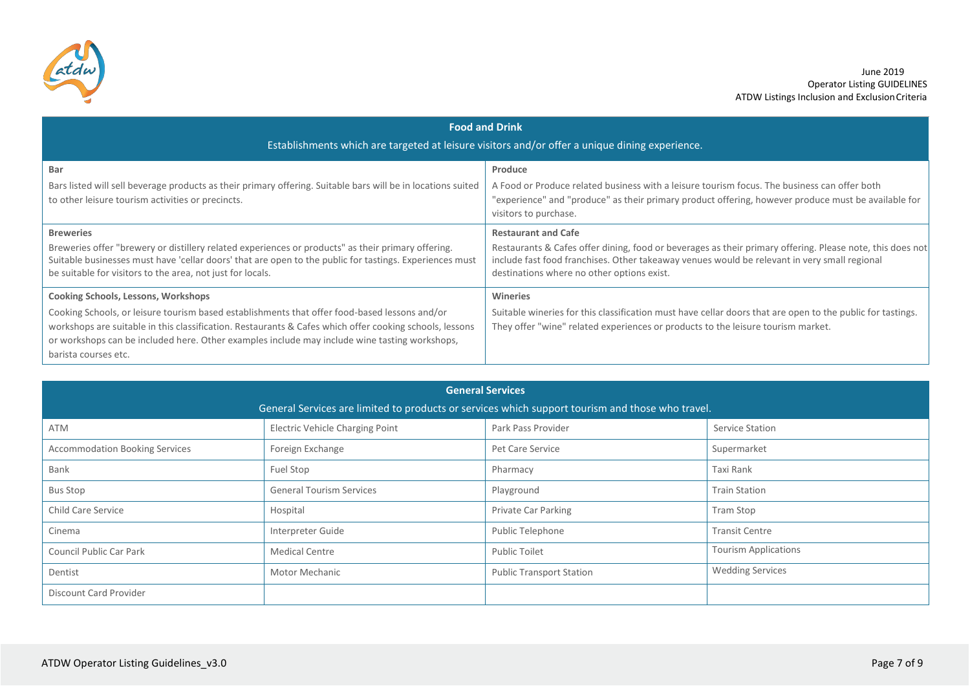

| <b>Food and Drink</b><br>Establishments which are targeted at leisure visitors and/or offer a unique dining experience.                                                                                                                                                                                                                                                         |                                                                                                                                                                                                                                                                                       |  |
|---------------------------------------------------------------------------------------------------------------------------------------------------------------------------------------------------------------------------------------------------------------------------------------------------------------------------------------------------------------------------------|---------------------------------------------------------------------------------------------------------------------------------------------------------------------------------------------------------------------------------------------------------------------------------------|--|
| Bar<br>Bars listed will sell beverage products as their primary offering. Suitable bars will be in locations suited<br>to other leisure tourism activities or precincts.                                                                                                                                                                                                        | Produce<br>A Food or Produce related business with a leisure tourism focus. The business can offer both<br>"experience" and "produce" as their primary product offering, however produce must be available for<br>visitors to purchase.                                               |  |
| <b>Breweries</b><br>Breweries offer "brewery or distillery related experiences or products" as their primary offering.<br>Suitable businesses must have 'cellar doors' that are open to the public for tastings. Experiences must<br>be suitable for visitors to the area, not just for locals.                                                                                 | <b>Restaurant and Cafe</b><br>Restaurants & Cafes offer dining, food or beverages as their primary offering. Please note, this does not<br>include fast food franchises. Other takeaway venues would be relevant in very small regional<br>destinations where no other options exist. |  |
| <b>Cooking Schools, Lessons, Workshops</b><br>Cooking Schools, or leisure tourism based establishments that offer food-based lessons and/or<br>workshops are suitable in this classification. Restaurants & Cafes which offer cooking schools, lessons<br>or workshops can be included here. Other examples include may include wine tasting workshops,<br>barista courses etc. | <b>Wineries</b><br>Suitable wineries for this classification must have cellar doors that are open to the public for tastings.<br>They offer "wine" related experiences or products to the leisure tourism market.                                                                     |  |

| <b>General Services</b>                                                                          |                                        |                                 |                             |
|--------------------------------------------------------------------------------------------------|----------------------------------------|---------------------------------|-----------------------------|
| General Services are limited to products or services which support tourism and those who travel. |                                        |                                 |                             |
| <b>ATM</b>                                                                                       | <b>Electric Vehicle Charging Point</b> | Park Pass Provider              | Service Station             |
| <b>Accommodation Booking Services</b>                                                            | Foreign Exchange                       | Pet Care Service                | Supermarket                 |
| Bank                                                                                             | Fuel Stop                              | Pharmacy                        | Taxi Rank                   |
| <b>Bus Stop</b>                                                                                  | <b>General Tourism Services</b>        | Playground                      | <b>Train Station</b>        |
| <b>Child Care Service</b>                                                                        | Hospital                               | Private Car Parking             | <b>Tram Stop</b>            |
| Cinema                                                                                           | Interpreter Guide                      | Public Telephone                | <b>Transit Centre</b>       |
| Council Public Car Park                                                                          | <b>Medical Centre</b>                  | <b>Public Toilet</b>            | <b>Tourism Applications</b> |
| Dentist                                                                                          | Motor Mechanic                         | <b>Public Transport Station</b> | <b>Wedding Services</b>     |
| Discount Card Provider                                                                           |                                        |                                 |                             |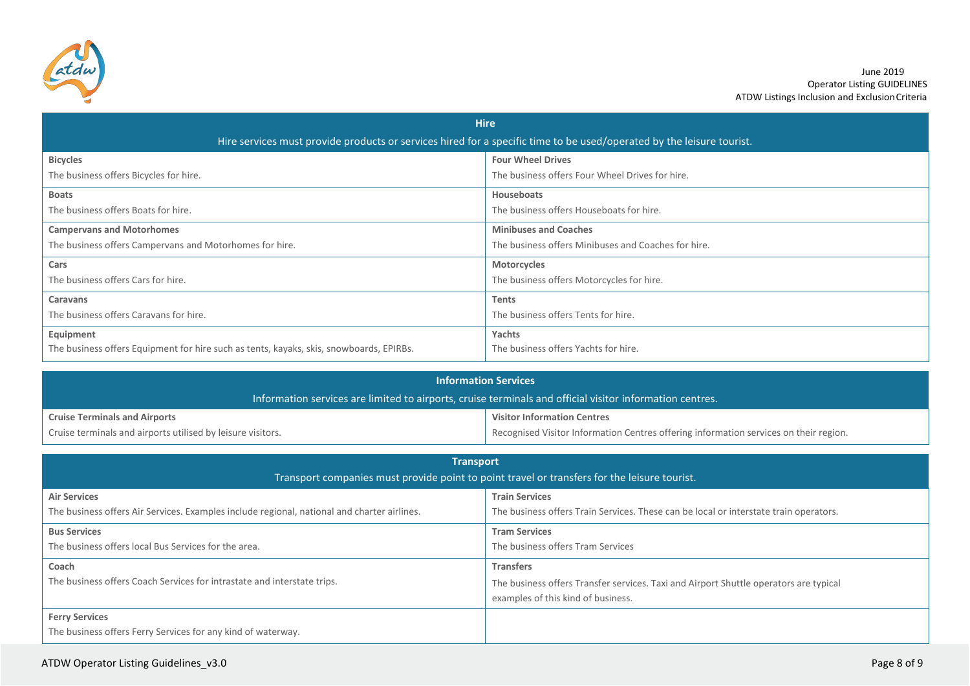

| <b>Hire</b>                                                                                                           |                                                     |  |
|-----------------------------------------------------------------------------------------------------------------------|-----------------------------------------------------|--|
| Hire services must provide products or services hired for a specific time to be used/operated by the leisure tourist. |                                                     |  |
| <b>Bicycles</b>                                                                                                       | <b>Four Wheel Drives</b>                            |  |
| The business offers Bicycles for hire.                                                                                | The business offers Four Wheel Drives for hire.     |  |
| <b>Boats</b>                                                                                                          | Houseboats                                          |  |
| The business offers Boats for hire.                                                                                   | The business offers Houseboats for hire.            |  |
| <b>Campervans and Motorhomes</b>                                                                                      | <b>Minibuses and Coaches</b>                        |  |
| The business offers Campervans and Motorhomes for hire.                                                               | The business offers Minibuses and Coaches for hire. |  |
| Cars                                                                                                                  | Motorcycles                                         |  |
| The business offers Cars for hire.                                                                                    | The business offers Motorcycles for hire.           |  |
| <b>Caravans</b>                                                                                                       | <b>Tents</b>                                        |  |
| The business offers Caravans for hire.                                                                                | The business offers Tents for hire.                 |  |
| Equipment                                                                                                             | Yachts                                              |  |
| The business offers Equipment for hire such as tents, kayaks, skis, snowboards, EPIRBs.                               | The business offers Yachts for hire.                |  |

| <b>Information Services</b>                                                                              |                                                                                       |
|----------------------------------------------------------------------------------------------------------|---------------------------------------------------------------------------------------|
| Information services are limited to airports, cruise terminals and official visitor information centres. |                                                                                       |
| <b>Cruise Terminals and Airports</b>                                                                     | <b>Visitor Information Centres</b>                                                    |
| Cruise terminals and airports utilised by leisure visitors.                                              | Recognised Visitor Information Centres offering information services on their region. |

| <b>Transport</b><br>Transport companies must provide point to point travel or transfers for the leisure tourist.   |                                                                                                                                                 |  |
|--------------------------------------------------------------------------------------------------------------------|-------------------------------------------------------------------------------------------------------------------------------------------------|--|
| <b>Air Services</b><br>The business offers Air Services. Examples include regional, national and charter airlines. | <b>Train Services</b><br>The business offers Train Services. These can be local or interstate train operators.                                  |  |
| <b>Bus Services</b><br>The business offers local Bus Services for the area.                                        | <b>Tram Services</b><br>The business offers Tram Services                                                                                       |  |
| Coach<br>The business offers Coach Services for intrastate and interstate trips.                                   | <b>Transfers</b><br>The business offers Transfer services. Taxi and Airport Shuttle operators are typical<br>examples of this kind of business. |  |
| <b>Ferry Services</b><br>The business offers Ferry Services for any kind of waterway.                              |                                                                                                                                                 |  |

#### ATDW Operator Listing Guidelines\_v3.0 Page 8 of 9